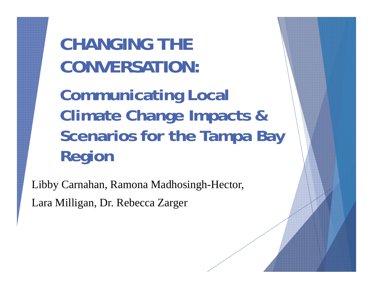**CHANGING THE CONVERSATION:** 

**Communicating Local Climate Change Impacts & Scenarios for the Tampa Bay Region**

Libby Carnahan, Ramona Madhosingh-Hector, Lara Milligan, Dr. Rebecca Zarger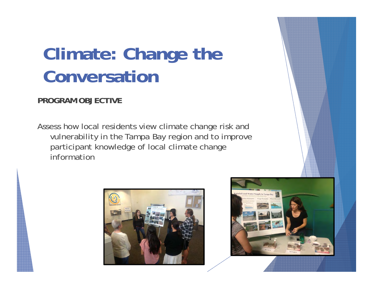### **Climate: Change the Conversation**

#### **PROGRAM OBJECTIVE**

Assess how local residents view climate change risk and vulnerability in the Tampa Bay region and to improve participant knowledge of local climate change information



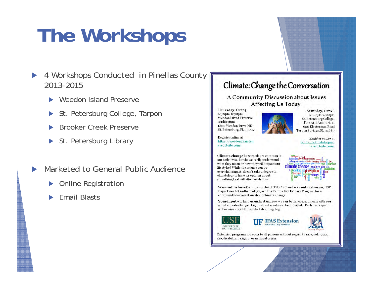## **The Workshops**

- $\blacktriangleright$  4 Workshops Conducted in Pinellas County 2013-2015
	- $\blacktriangleright$ Weedon Island Preserve
	- $\blacktriangleright$ St. Petersburg College, Tarpon
	- $\blacktriangleright$ Brooker Creek Preserve
	- ▶ St. Petersburg Library
- $\blacktriangleright$  Marketed to General Public Audience
	- $\blacktriangleright$ Online Registration
	- $\blacktriangleright$ Email Blasts

#### Climate: Change the Conversation

A Community Discussion about Issues **Affecting Us Today** 

Thursday, Oct 24 6:30pm-8:30pm Weedon Island Preserve Auditorium 1800 Weedon Drive NE St. Petersburg, FL 33702



Saturday, Oct 26 2:00pm-4:00pm St. Petersburg College, **Fine Arts Auditorium** 600 Klosterman Road Tarpon Springs, FL 34689

Register online at https://weedonclimate. eventbrite.com/

Register online at https://elimatetarpon. eventbrite.com/

s global conversation

climate change sea level rise

species virustin chan

*e* perception

Climate change buzzwords are common in our daily lives, but do we really understand what they mean or how they will impact our lifestyles? While the science can be overwhelming, it doesn't take a degree in climatology to have an opinion about something that will affect each of us.

We want to hear from you! Join UF/IFAS Pinellas County Extension, USF Department of Anthropology, and the Tampa Bay Estuary Program for a community conversation about climate change.

Your input will help us understand how we can better communicate with you about climate change. Light refreshments will be provided. Each participant will receive a FREE insulated shopping bag.







Extension programs are open to all persons without regard to race, color, sex, age, disability, religion, or national origin.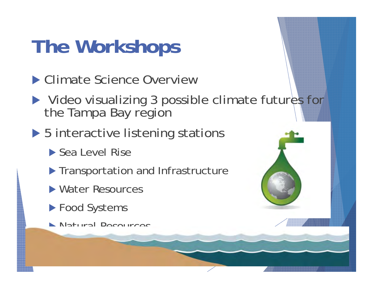## **The Workshops**

- ▶ Climate Science Overview
- ▶ Video visualizing 3 possible climate futures for the Tampa Bay region
- ▶ 5 interactive listening stations
	- ▶ Sea Level Rise
	- **Transportation and Infrastructure**
	- ▶ Water Resources
	- ▶ Food Systems
	- Natural Resources

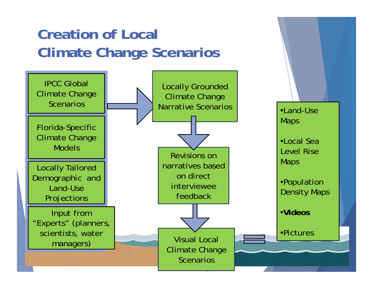#### **Creation of Local Climate Change Scenarios**

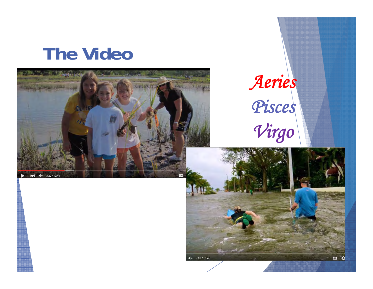### **The Video**



# *Aeries Pisces Virgo*

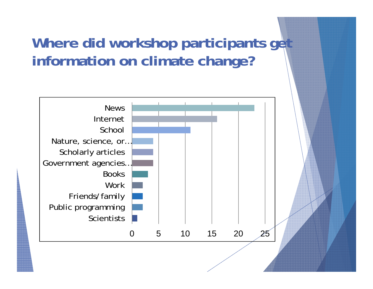#### **Where did workshop participants get information on climate change?**

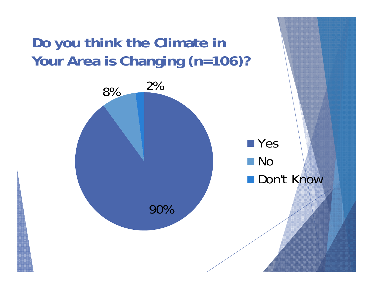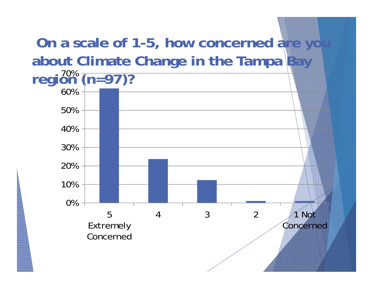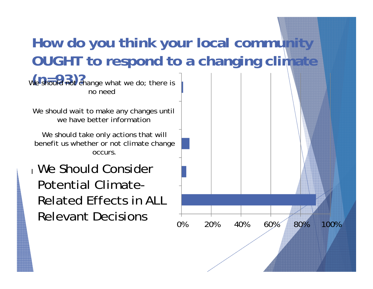#### **How do you think your local community OUGHT to respond to a changing climate**

We should not change what we do; there is no need

We should wait to make any changes until we have better information

We should take only actions that will benefit us whether or not climate change occurs.

 $D \cap \mathsf{C}$  consider  $\mathsf{C}$  and  $\mathsf{C}$  and  $\mathsf{C}$  consider  $\mathsf{C}$ Related Effects in ALL We Chauld Consider  $_1$  We Should Consider Potential Climate-Relevant Decisions

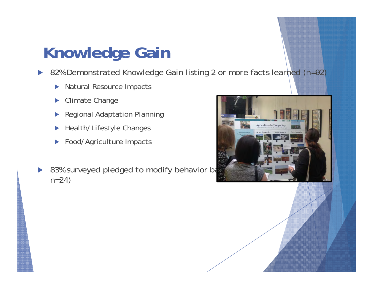### **Knowledge Gain**

 $\blacktriangleright$ 82% Demonstrated Knowledge Gain listing 2 or more facts learned (n=92)

- $\blacktriangleright$ Natural Resource Impacts
- $\blacktriangleright$ Climate Change
- $\blacktriangleright$ Regional Adaptation Planning
- $\blacktriangleright$ Health/Lifestyle Changes
- $\blacktriangleright$ Food/Agriculture Impacts
- D 83% surveyed pledged to modify behavior based on the same and states are as n=24)

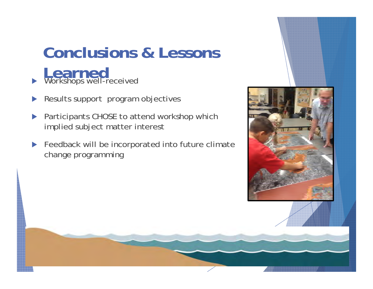### **Conclusions & Lessons Learned**<br> **Workshops well-received**

 $\blacktriangleright$ Results support program objectives

 $\blacktriangleright$ 

- $\blacktriangleright$  Participants CHOSE to attend workshop which implied subject matter interest
- $\blacktriangleright$  Feedback will be incorporated into future climate change programming

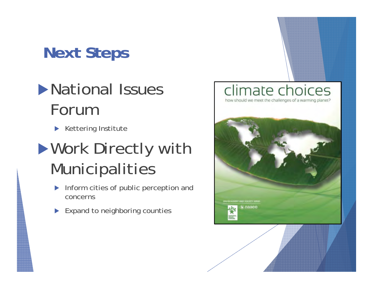### **Next Steps**

### **National Issues** Forum

 $\blacktriangleright$  Kettering Institute

### **Nork Directly with** Municipalities

- $\blacktriangleright$  Inform cities of public perception and concerns
- Expand to neighboring counties